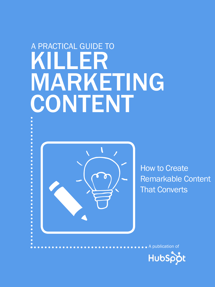## Killer WARKETING CONTENT A practical guide to



How to Create Remarkable Content That Converts



A publication of

 $\bullet$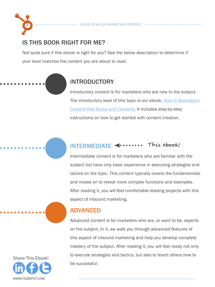#### IS THIS BOOK RIGHT FOR ME?

2

Not quite sure if this ebook is right for you? See the below description to determine if your level matches the content you are about to read.

#### INTRODUCTORY

Introductory content is for marketers who are new to the subject. The introductory level of this topic is our ebook, How to Brainstorm [Content that Rocks and Converts.](http://www.hubspot.com/How-To-Brainstorm-Content-That-Rocks-And-Converts/) It includes step-by-step instructions on how to get started with content creation.

#### INTERMEDIATE **This ebook!**

Intermediate content is for marketers who are familiar with the subject but have only basic experience in executing strategies and tactics on the topic. This content typically covers the fundamentals and moves on to reveal more complex functions and examples. After reading it, you will feel comfortable leading projects with this aspect of inbound marketing.

#### ADVANCED

Advanced content is for marketers who are, or want to be, experts on the subject. In it, we walk you through advanced features of this aspect of inbound marketing and help you develop complete mastery of the subject. After reading it, you will feel ready not only to execute strategies and tactics, but also to teach others how to be successful.

www.Hubspot.com Share This Ebook!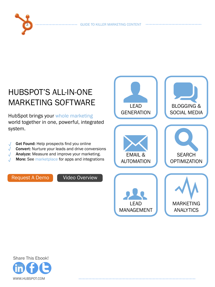. . . . . . . . . . . . . . . . .





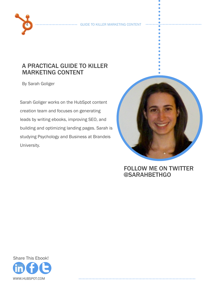#### a practical guide to killer marketing Content

By Sarah Goliger

4

Sarah Goliger works on the HubSpot content creation team and focuses on generating leads by writing ebooks, improving SEO, and building and optimizing landing pages. Sarah is studying Psychology and Business at Brandeis University.



#### FOLLOW ME ON TWITTER [@sarahbethgo](https://twitter.com/sarahbethgo)

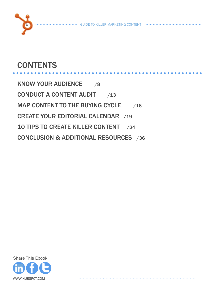

. **. . . . . . . . . .** 

#### **CONTENTS**

[know your audience](#page-7-0) /8 [conduct a content audit](#page-12-0) /13 MAP CONTENT TO THE BUYING CYCLE 716 [create your editorial calendar /19](#page-18-0) [10 tips to create killer content /24](#page-23-0) [conclusion & Additional resources /36](#page-35-0)

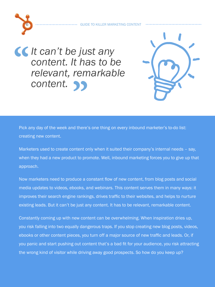*It can't be just any content. It has to be relevant, remarkab content. It has to be relevant, remarkable content.* **"**

6



Pick any day of the week and there's one thing on every inbound marketer's to-do list: creating new content.

Marketers used to create content only when it suited their company's internal needs – say, when they had a new product to promote. Well, inbound marketing forces you to give up that approach.

Now marketers need to produce a constant flow of new content, from blog posts and social media updates to videos, ebooks, and webinars. This content serves them in many ways: it improves their search engine rankings, drives traffic to their websites, and helps to nurture existing leads. But it can't be just any content. It has to be relevant, remarkable content.

Constantly coming up with new content can be overwhelming. When inspiration dries up, you risk falling into two equally dangerous traps. If you stop creating new blog posts, videos, ebooks or other content pieces, you turn off a major source of new traffic and leads. Or, if you panic and start pushing out content that's a bad fit for your audience, you risk attracting the wrong kind of visitor while driving away good prospects. So how do you keep up?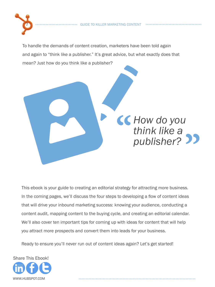

To handle the demands of content creation, marketers have been told again and again to "think like a publisher." It's great advice, but what exactly does that mean? Just how do you think like a publisher?

> **EC** How do you<br>
> think like a<br>
> publisher? *think like a publisher?* **"**

This ebook is your guide to creating an editorial strategy for attracting more business. In the coming pages, we'll discuss the four steps to developing a flow of content ideas that will drive your inbound marketing success: knowing your audience, conducting a content audit, mapping content to the buying cycle, and creating an editorial calendar. We'll also cover ten important tips for coming up with ideas for content that will help you attract more prospects and convert them into leads for your business.

Ready to ensure you'll never run out of content ideas again? Let's get started!

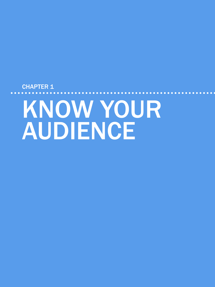# <span id="page-7-0"></span>CHAPTER 1 know your **AUDIENCE**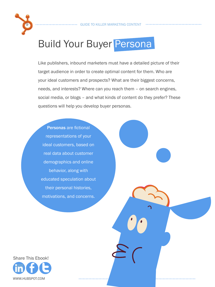

Like publishers, inbound marketers must have a detailed picture of their target audience in order to create optimal content for them. Who are your ideal customers and prospects? What are their biggest concerns, needs, and interests? Where can you reach them – on search engines, social media, or blogs – and what kinds of content do they prefer? These questions will help you develop buyer personas.

Personas are fictional representations of your ideal customers, based on real data about customer demographics and online behavior, along with educated speculation about their personal histories, motivations, and concerns.

www.Hubspot.com Share This Ebook!

9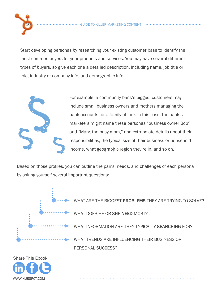Start developing personas by researching your existing customer base to identify the most common buyers for your products and services. You may have several different types of buyers, so give each one a detailed description, including name, job title or role, industry or company info, and demographic info.



10

For example, a community bank's biggest customers may include small business owners and mothers managing the bank accounts for a family of four. In this case, the bank's marketers might name these personas "business owner Bob" and "Mary, the busy mom," and extrapolate details about their responsibilities, the typical size of their business or household income, what geographic region they're in, and so on.

Based on those profiles, you can outline the pains, needs, and challenges of each persona by asking yourself several important questions:



WHAT ARE THE BIGGEST PROBLEMS THEY ARE TRYING TO SOLVE? WHAT DOES HE OR SHE NEED MOST? WHAT INFORMATION ARE THEY TYPICALLY SEARCHING FOR? What trends are influencing their business or personal success?

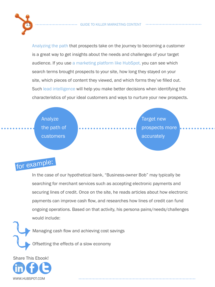

[Analyzing the path](www.hubspot.com/products/analytics/?source=ebooks-ctas) that prospects take on the journey to becoming a customer is a great way to get insights about the needs and challenges of your target audience. If you use [a marketing platform like HubSpot,](www.hubspot.com/products/?source=ebooks-ctas) you can see which search terms brought prospects to your site, how long they stayed on your site, which pieces of content they viewed, and which forms they've filled out. Such [lead intelligence](www.hubspot.com/products/?source=ebooks-ctas) will help you make better decisions when identifying the characteristics of your ideal customers and ways to nurture your new prospects.



## for example:

In the case of our hypothetical bank, "Business-owner Bob" may typically be searching for merchant services such as accepting electronic payments and securing lines of credit. Once on the site, he reads articles about how electronic payments can improve cash flow, and researches how lines of credit can fund ongoing operations. Based on that activity, his persona pains/needs/challenges would include:

Managing cash flow and achieving cost savings

Offsetting the effects of a slow economy

www.Hubspot.com Share This Ebook!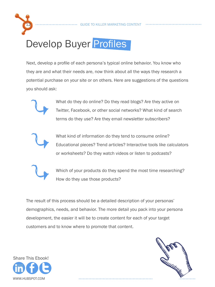

## Develop Buyer Profiles

Next, develop a profile of each persona's typical online behavior. You know who they are and what their needs are, now think about all the ways they research a potential purchase on your site or on others. Here are suggestions of the questions you should ask:



.What do they do online? Do they read blogs? Are they active on Twitter, Facebook, or other social networks? What kind of search terms do they use? Are they email newsletter subscribers?



What kind of information do they tend to consume online? Educational pieces? Trend articles? Interactive tools like calculators or worksheets? Do they watch videos or listen to podcasts?



Which of your products do they spend the most time researching? How do they use those products?

The result of this process should be a detailed description of your personas' demographics, needs, and behavior. The more detail you pack into your persona development, the easier it will be to create content for each of your target customers and to know where to promote that content.



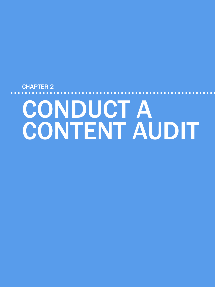# CONDUCT A **CONTENT AUDIT**

<span id="page-12-0"></span>CHAPTER 2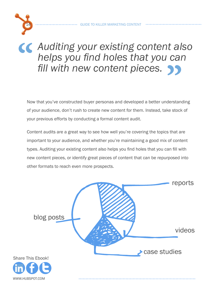14

## **CC** Auditing your existing content also helps you find holes that you can fill with new content pieces. *helps you find holes that you can fill with new content pieces.***"**

Now that you've constructed buyer personas and developed a better understanding of your audience, don't rush to create new content for them. Instead, take stock of your previous efforts by conducting a formal content audit.

Content audits are a great way to see how well you're covering the topics that are important to your audience, and whether you're maintaining a good mix of content types. Auditing your existing content also helps you find holes that you can fill with new content pieces, or identify great pieces of content that can be repurposed into other formats to reach even more prospects.

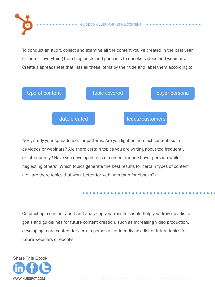

To conduct an audit, collect and examine all the content you've created in the past year or more – everything from blog posts and podcasts to ebooks, videos and webinars. Create a spreadsheet that lists all these items by their title and label them according to:



Next, study your spreadsheet for patterns: Are you light on non-text content, such as videos or webinars? Are there certain topics you are writing about too frequently or infrequently? Have you developed tons of content for one buyer persona while neglecting others? Which topics generate the best results for certain types of content (i.e., are there topics that work better for webinars than for ebooks?)

Conducting a content audit and analyzing your results should help you draw up a list of goals and guidelines for future content creation, such as increasing video production, developing more content for certain personas, or identifying a list of future topics for future webinars or ebooks.



15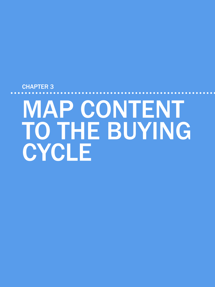# <span id="page-15-0"></span>CHAPTER 3 **MAP CONTENT** TO THE BUYING CYCLE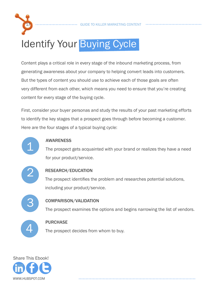

. . **. . . . . . . . . . . .** .

## Identify Your Buying Cycle

Content plays a critical role in every stage of the inbound marketing process, from generating awareness about your company to helping convert leads into customers. But the types of content you should use to achieve each of those goals are often very different from each other, which means you need to ensure that you're creating content for every stage of the buying cycle.

First, consider your buyer personas and study the results of your past marketing efforts to identify the key stages that a prospect goes through before becoming a customer. Here are the four stages of a typical buying cycle:



#### **AWARENESS**

The prospect gets acquainted with your brand or realizes they have a need for your product/service.



#### Research/Education

The prospect identifies the problem and researches potential solutions, including your product/service.



#### Comparison/Validation

The prospect examines the options and begins narrowing the list of vendors.



#### **PURCHASE**

The prospect decides from whom to buy.

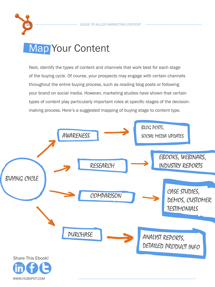GUIDE TO KILLER MARKETING CONTENT

## Map Your Content

18

Next, identify the types of content and channels that work best for each stage of the buying cycle. Of course, your prospects may engage with certain channels throughout the entire buying process, such as reading blog posts or following your brand on social media. However, marketing studies have shown that certain types of content play particularly important roles at specific stages of the decisionmaking process. Here's a suggested mapping of buying stage to content type.

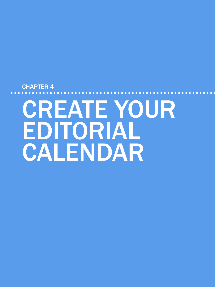# <span id="page-18-0"></span>CHAPTER 4 create your EDITORIAL CALENDAR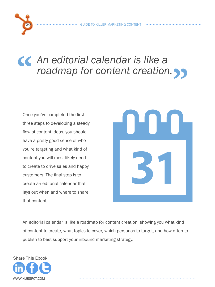# *An editorial calendar is like a roadmap for content creation roadmap for content creation.***"**

Once you've completed the first three steps to developing a steady flow of content ideas, you should have a pretty good sense of who you're targeting and what kind of content you will most likely need to create to drive sales and happy customers. The final step is to create an editorial calendar that lays out when and where to share that content.



An editorial calendar is like a roadmap for content creation, showing you what kind of content to create, what topics to cover, which personas to target, and how often to publish to best support your inbound marketing strategy.



20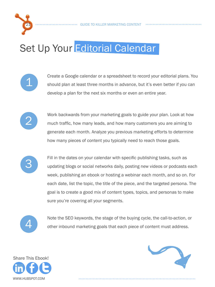

## Set Up Your Editorial Calendar



Create a Google calendar or a spreadsheet to record your editorial plans. You should plan at least three months in advance, but it's even better if you can develop a plan for the next six months or even an entire year.

. . **. . . . . . . . . . . .** .



Work backwards from your marketing goals to guide your plan. Look at how much traffic, how many leads, and how many customers you are aiming to generate each month. Analyze you previous marketing efforts to determine how many pieces of content you typically need to reach those goals.



Fill in the dates on your calendar with specific publishing tasks, such as updating blogs or social networks daily, posting new videos or podcasts each week, publishing an ebook or hosting a webinar each month, and so on. For each date, list the topic, the title of the piece, and the targeted persona. The goal is to create a good mix of content types, topics, and personas to make sure you're covering all your segments.



Note the SEO keywords, the stage of the buying cycle, the call-to-action, or other inbound marketing goals that each piece of content must address.



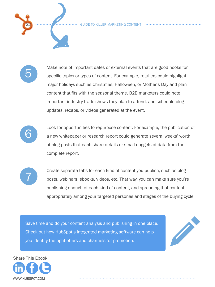GUIDE TO KILLER MARKETING CONTENT

. . . . . . . . . . . .



22

Make note of important dates or external events that are good hooks for specific topics or types of content. For example, retailers could highlight major holidays such as Christmas, Halloween, or Mother's Day and plan content that fits with the seasonal theme. B2B marketers could note important industry trade shows they plan to attend, and schedule blog updates, recaps, or videos generated at the event.



Look for opportunities to repurpose content. For example, the publication of a new whitepaper or research report could generate several weeks' worth of blog posts that each share details or small nuggets of data from the complete report.



Create separate tabs for each kind of content you publish, such as blog posts, webinars, ebooks, videos, etc. That way, you can make sure you're publishing enough of each kind of content, and spreading that content appropriately among your targeted personas and stages of the buying cycle.

[Save time and do your content analysis and publishing in](www.hubspot.com/products/demo/?source=ebooks-ctas) one place. Check out how HubSpot's integrated marketing software can help Save time and do your content analysis and [p](www.hubspot.com/products/demo/?source=ebooks-ctas)ublishing in one place.<br>Check out how HubSpot's integrated marketing software can help<br>you identify the right offers and channels for promotion.



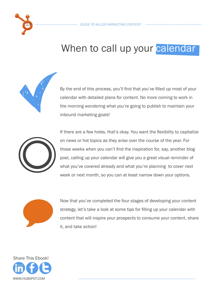

#### When to call up your calendar

By the end of this process, you'll find that you've filled up most of your calendar with detailed plans for content. No more coming to work in the morning wondering what you're going to publish to maintain your inbound marketing goals!



If there are a few holes, that's okay. You want the flexibility to capitalize on news or hot topics as they arise over the course of the year. For those weeks when you can't find the inspiration for, say, another blog post, calling up your calendar will give you a great visual reminder of what you've covered already and what you're planning to cover next week or next month, so you can at least narrow down your options.



Now that you've completed the four stages of developing your content strategy, let's take a look at some tips for filling up your calendar with Now that you've completed the four stages of developing your content strategy, let's take a look at some tips for filling up your calendar with content that will inspire your prospects to consume your content, share it, an

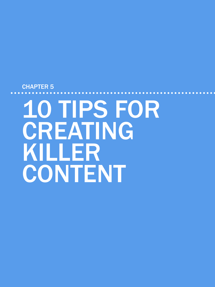# <span id="page-23-0"></span>CHAPTER 5 10 tips for **CREATING** killer CONTENT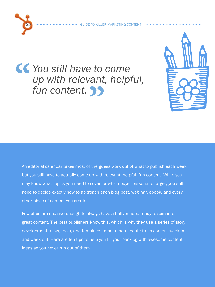

### *You still have to come*<br>
up with relevant, helpf<br>
fun content. >>> *up with relevant, helpful,*  fun content. **19**



An editorial calendar takes most of the guess work out of what to publish each week, but you still have to actually come up with relevant, helpful, fun content. While you may know what topics you need to cover, or which buyer persona to target, you still need to decide exactly how to approach each blog post, webinar, ebook, and every other piece of content you create.

Few of us are creative enough to always have a brilliant idea ready to spin into great content. The best publishers know this, which is why they use a series of story development tricks, tools, and templates to help them create fresh content week in and week out. Here are ten tips to help you fill your backlog with awesome content ideas so you never run out of them.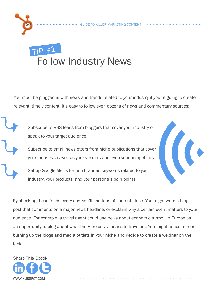# 26

### TIp #<sup>1</sup> Follow Industry News

You must be plugged in with news and trends related to your industry if you're going to create relevant, timely content. It's easy to follow even dozens of news and commentary sources:

.Subscribe to RSS feeds from bloggers that cover your industry or speak to your target audience.

.Subscribe to email newsletters from niche publications that cover your industry, as well as your vendors and even your competitors.

Set up Google Alerts for non-branded keywords related to your industry, your products, and your persona's pain points.



By checking these feeds every day, you'll find tons of content ideas. You might write a blog post that comments on a major news headline, or explains why a certain event matters to your audience. For example, a travel agent could use news about economic turmoil in Europe as an opportunity to blog about what the Euro crisis means to travelers. You might notice a trend burning up the blogs and media outlets in your niche and decide to create a webinar on the topic.

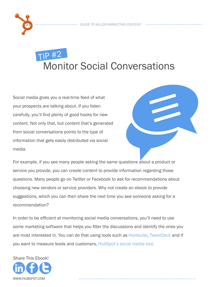## TIp #2 Monitor Social Conversations

Social media gives you a real-time feed of what your prospects are talking about. If you listen carefully, you'll find plenty of good hooks for new content. Not only that, but content that's generated from social conversations points to the type of information that gets easily distributed via social media.



For example, if you see many people asking the same questions about a product or service you provide, you can create content to provide information regarding those questions. Many people go on Twitter or Facebook to ask for recommendations about choosing new vendors or service providers. Why not create an ebook to provide suggestions, which you can then share the next time you see someone asking for a recommendation?

In order to be efficient at monitoring social media conversations, you'll need to use some marketing software that helps you filter the discussions and identify the ones you are most interested in. You can do that using tools such as [Hootsuite](http://hootsuite.com/dashboard), [TweetDeck](http://www.tweetdeck.com/) and if you want to measure leads and customers, [HubSpot's social media tool.](www.hubspot.com/products/blogging-social-media/?source=ebooks-ctas)



27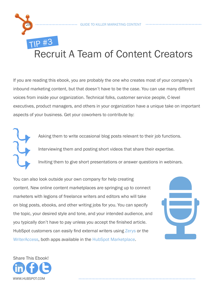#### 28 GUIDE TO KILLER MARKETING CONTENT TIp #3 Recruit A Team of Content Creators

If you are reading this ebook, you are probably the one who creates most of your company's inbound marketing content, but that doesn't have to be the case. You can use many different voices from inside your organization. Technical folks, customer service people, C-level executives, product managers, and others in your organization have a unique take on important aspects of your business. Get your coworkers to contribute by:

> Asking them to write occasional blog posts relevant to their job functions. Interviewing them and posting short videos that share their expertise.

> Inviting them to give short presentations or answer questions in webinars.

You can also look outside your own company for help creating content. New online content marketplaces are springing up to connect marketers with legions of freelance writers and editors who will take on blog posts, ebooks, and other writing jobs for you. You can specify the topic, your desired style and tone, and your intended audience, and you typically don't have to pay unless you accept the finished article. HubSpot customers can easily find external writers using [Zerys](http://www.hubspot.com/products/business-blog/zerys-content-marketplace/) or the [WriterAccess](https://app.hubspot.com/market/front/writeraccess?portalId=105285), both apps available in the [HubSpot Marketplace.](https://app.hubspot.com/market/front/list)

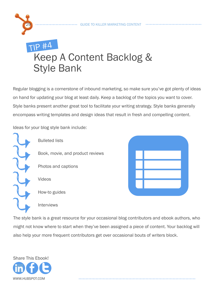

#### TIp #4 Keep A Content Backlog & Style Bank

Regular blogging is a cornerstone of inbound marketing, so make sure you've got plenty of ideas on hand for updating your blog at least daily. Keep a backlog of the topics you want to cover. Style banks present another great tool to facilitate your writing strategy. Style banks generally encompass writing templates and design ideas that result in fresh and compelling content.

Ideas for your blog style bank include:

Interviews



Bulleted lists Book, movie, and product reviews Photos and captions Videos How-to guides

n

The style bank is a great resource for your occasional blog contributors and ebook authors, who might not know where to start when they've been assigned a piece of content. Your backlog will also help your more frequent contributors get over occasional bouts of writers block.

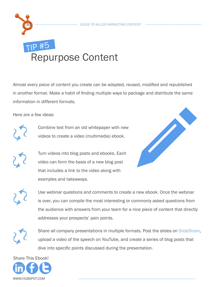#### GUIDE TO KILLER MARKETING CONTENT

### **IP #5** Repurpose Content

Almost every piece of content you create can be adapted, reused, modified and republished in another format. Make a habit of finding multiple ways to package and distribute the same information in different formats.

Here are a few ideas:

30



Combine text from an old whitepaper with new videos to create a video (multimedia) ebook.

Turn videos into blog posts and ebooks. Each video can form the basis of a new blog post that includes a link to the video along with examples and takeaways.



Use webinar questions and comments to create a new ebook. Once the webinar is over, you can compile the most interesting or commonly asked questions from the audience with answers from your team for a nice piece of content that directly addresses your prospects' pain points.

Share all company presentations in multiple formats. Post the slides on [SlideShare](http://www.slideshare.net/hubspot), upload a video of the speech on YouTube, and create a series of blog posts that dive into specific points discussed during the presentation.

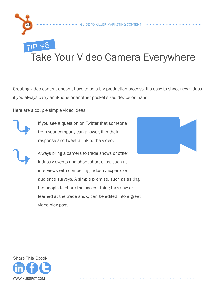## TIp #6 Take Your Video Camera Everywhere

Creating video content doesn't have to be a big production process. It's easy to shoot new videos if you always carry an iPhone or another pocket-sized device on hand.

Here are a couple simple video ideas:



31

If you see a question on Twitter that someone from your company can answer, film their response and tweet a link to the video.

Always bring a camera to trade shows or other industry events and shoot short clips, such as interviews with compelling industry experts or audience surveys. A simple premise, such as asking ten people to share the coolest thing they saw or learned at the trade show, can be edited into a great video blog post.



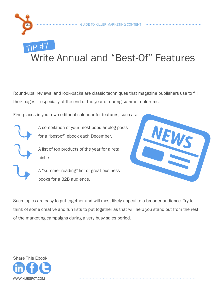

#### TIp #7 Write Annual and "Best-Of" Features

Round-ups, reviews, and look-backs are classic techniques that magazine publishers use to fill their pages – especially at the end of the year or during summer doldrums.

Find places in your own editorial calendar for features, such as:

A compilation of your most popular blog posts for a "best-of" ebook each December.

A list of top products of the year for a retail niche.

A "summer reading" list of great business books for a B2B audience.



Such topics are easy to put together and will most likely appeal to a broader audience. Try to think of some creative and fun lists to put together as that will help you stand out from the rest of the marketing campaigns during a very busy sales period.

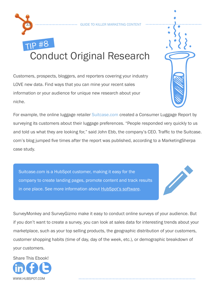## TIp #8 Conduct Original Research

Customers, prospects, bloggers, and reporters covering your industry LOVE new data. Find ways that you can mine your recent sales information or your audience for unique new research about your niche.

For example, the online luggage retailer [Suitcase.com](http://www.suitcase.com/) created a Consumer Luggage Report by surveying its customers about their luggage preferences. "People responded very quickly to us and told us what they are looking for," said John Ebb, the company's CEO. Traffic to the Suitcase. com's blog jumped five times after the report was published, according to a MarketingSherpa case study.

GUIDE TO KILLER MARKETING CONTENT

Suitcase.com is a HubSpot customer, making it easy for the company to create landing pages, promot[e content and track r](www.hubspot.com/products/?source=ebooks-ctas)esults Suitcase.com is a HubS[p](www.hubspot.com/products/demo/?source=ebooks-ctas)ot customer, making it easy for the<br>company to create landing pages, promote content and track results<br>in one place. See more information about <u>HubSpot's software</u>.

SurveyMonkey and SurveyGizmo make it easy to conduct online surveys of your audience. But if you don't want to create a survey, you can look at sales data for interesting trends about your marketplace, such as your top selling products, the geographic distribution of your customers, customer shopping habits (time of day, day of the week, etc.), or demographic breakdown of your customers.



33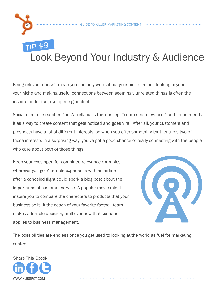

#### TIp #9 Look Beyond Your Industry & Audience

Being relevant doesn't mean you can only write about your niche. In fact, looking beyond your niche and making useful connections between seemingly unrelated things is often the inspiration for fun, eye-opening content.

Social media researcher Dan Zarrella calls this concept "combined relevance," and recommends it as a way to create content that gets noticed and goes viral. After all, your customers and prospects have a lot of different interests, so when you offer something that features two of those interests in a surprising way, you've got a good chance of really connecting with the people who care about both of those things.

Keep your eyes open for combined relevance examples wherever you go. A terrible experience with an airline after a canceled flight could spark a blog post about the importance of customer service. A popular movie might inspire you to compare the characters to products that your business sells. If the coach of your favorite football team makes a terrible decision, mull over how that scenario applies to business management.



The possibilities are endless once you get used to looking at the world as fuel for marketing content.

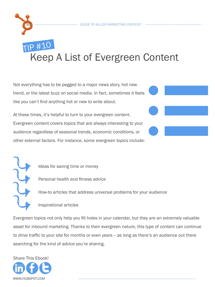## TIp #10 Keep A List of Evergreen Content

Not everything has to be pegged to a major news story, hot new trend, or the latest buzz on social media. In fact, sometimes it feels like you can't find anything hot or new to write about.

At these times, it's helpful to turn to your evergreen content. Evergreen content covers topics that are always interesting to your audience regardless of seasonal trends, economic conditions, or other external factors. For instance, some evergreen topics include:

l

35

Ideas for saving time or money

Personal health and fitness advice

How-to articles that address universal problems for your audience

Inspirational articles

Evergreen topics not only help you fill holes in your calendar, but they are an extremely valuable asset for inbound marketing. Thanks to their evergreen nature, this type of content can continue to drive traffic to your site for months or even years -- as long as there's an audience out there searching for the kind of advice you're sharing.

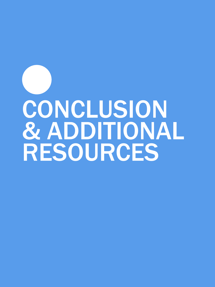# <span id="page-35-0"></span>conclusion **& ADDITIONAL** resources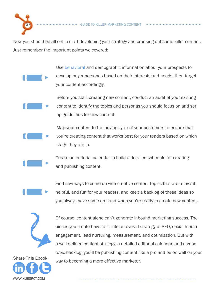

Now you should be all set to start developing your strategy and cranking out some killer content. Just remember the important points we covered:

> Use [behavioral](www.hubspot.com/products/analytics/?source=ebooks-ctas) and demographic information about your prospects to develop buyer personas based on their interests and needs, then target your content accordingly.

Before you start creating new content, conduct an audit of your existing content to identify the topics and personas you should focus on and set up guidelines for new content.

Map your content to the buying cycle of your customers to ensure that you're creating content that works best for your readers based on which stage they are in.

Create an editorial calendar to build a detailed schedule for creating and publishing content.

Find new ways to come up with creative content topics that are relevant,

helpful, and fun for your readers, and keep a backlog of these ideas so you always have some on hand when you're ready to create new content.



Of course, content alone can't generate inbound marketing success. The pieces you create have to fit into an overall strategy of SEO, social media engagement, lead nurturing, measurement, and optimization. But with a well-defined content strategy, a detailed editorial calendar, and a good topic backlog, you'll be publishing content like a pro and be on well on your way to becoming a more effective marketer.

www.Hubspot.com Share This Ebook!